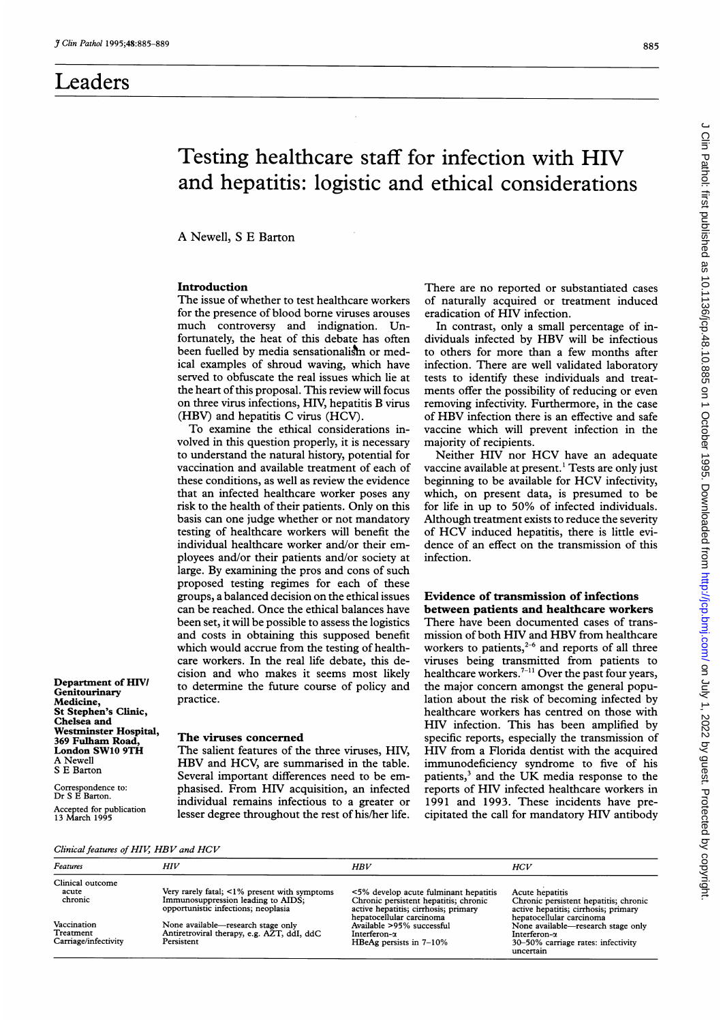# Testing healthcare staff for infection with HIV and hepatitis: logistic and ethical considerations The issue of whether to test healthcare workers for the presence of blood borne viruses arouses much controversy and indignation. Unfortunately, the heat of this debate has often been fuelled by media sensationalism or medical examples of shroud waving, which have served to obfuscate the real issues which lie at the heart of this proposal. This review will focus on three virus infections, HIV, hepatitis B virus volved in this question properly, it is necessary to understand the natural history, potential for vaccination and available treatment of each of these conditions, as well as review the evidence that an infected healthcare worker poses any risk to the health of their patients. Only on this basis can one judge whether or not mandatory ployees and/or their patients and/or society at large. By examining the pros and cons of such proposed testing regimes for each of these groups, a balanced decision on the ethical issues There are no reported or substantiated cases eradication of HIV infection. majority of recipients. infection.

### Evidence of transmission of infections between patients and healthcare workers

There have been documented cases of transmission of both HIV and HBV from healthcare workers to patients,  $20$  and reports of all three viruses being transmitted from patients to healthcare workers.<sup>7-11</sup> Over the past four years, the major concern amongst the general population about the risk of becoming infected by healthcare workers has centred on those with HIV infection. This has been amplified by specific reports, especially the transmission of HIV from <sup>a</sup> Florida dentist with the acquired immunodeficiency syndrome to five of his patients,<sup>3</sup> and the UK media response to the reports of HIV infected healthcare workers in 1991 and 1993. These incidents have precipitated the call for mandatory HIV antibody

Department of HIV/ **Genitourinary** Medicine, St Stephen's Clinic, Chelsea and Westminster Hospital, 369 Fulham Road, London SW10 9TH A Newell S E Barton

Correspondence to: Dr S E Barton. Accepted for publication 13 March 199

## Clinical features of HIV, HBV and HCV

| Features                                         | HIV                                                                                                                       | HBV                                                                                                                    | HCV                                                                                                                                       |
|--------------------------------------------------|---------------------------------------------------------------------------------------------------------------------------|------------------------------------------------------------------------------------------------------------------------|-------------------------------------------------------------------------------------------------------------------------------------------|
| Clinical outcome<br>acute<br>chronic             | Very rarely fatal; <1% present with symptoms<br>Immunosuppression leading to AIDS;<br>opportunistic infections; neoplasia | <5% develop acute fulminant hepatitis<br>Chronic persistent hepatitis; chronic<br>active hepatitis; cirrhosis; primary | Acute hepatitis<br>Chronic persistent hepatitis; chronic<br>active hepatitis; cirrhosis; primary                                          |
| Vaccination<br>Treatment<br>Carriage/infectivity | None available—research stage only<br>Antiretroviral therapy, e.g. AZT, ddI, ddC<br>Persistent                            | hepatocellular carcinoma<br>Available >95% successful<br>Interferon- $\alpha$<br>HBeAg persists in $7-10\%$            | hepatocellular carcinoma<br>None available—research stage only<br>Interferon- $\alpha$<br>30-50% carriage rates: infectivity<br>uncertain |

of naturally acquired or treatment induced In contrast, only a small percentage of in-

dividuals infected by HBV will be infectious to others for more than a few months after infection. There are well validated laboratory tests to identify these individuals and treatments offer the possibility of reducing or even removing infectivity. Furthermore, in the case of HBV infection there is an effective and safe vaccine which will prevent infection in the

Neither HIV nor HCV have an adequate vaccine available at present.' Tests are only just beginning to be available for HCV infectivity, which, on present data, is presumed to be for life in up to 50% of infected individuals. Although treatment exists to reduce the severity of HCV induced hepatitis, there is little evidence of an effect on the transmission of this

care workers. In the real life debate, this decision and who makes it seems most likely to determine the future course of policy and practice.

# The viruses concerned

A Newell, S E Barton

(HBV) and hepatitis C virus (HCV).

To examine the ethical considerations in-

testing of healthcare workers will benefit the individual healthcare worker and/or their em-

can be reached. Once the ethical balances have been set, it will be possible to assess the logistics and costs in obtaining this supposed benefit which would accrue from the testing of health-

Introduction

The salient features of the three viruses, HIV, HBV and HCV, are summarised in the table. Several important differences need to be emphasised. From HIV acquisition, an infected individual remains infectious to a greater or lesser degree throughout the rest of his/her life.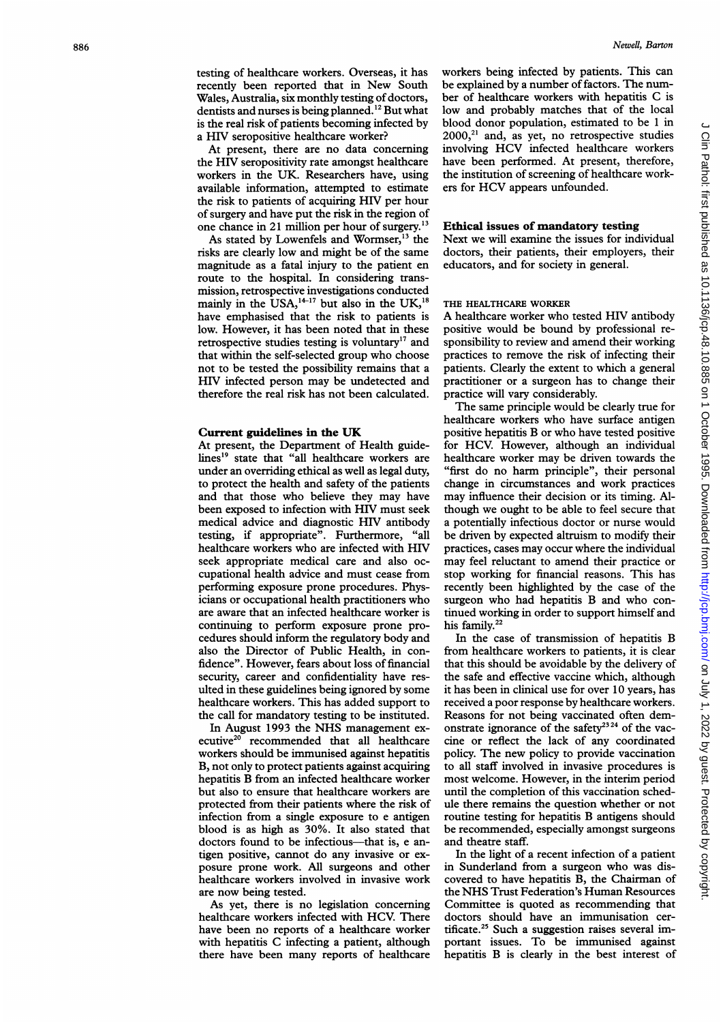testing of healthcare workers. Overseas, it has recently been reported that in New South Wales, Australia, six monthly testing of doctors, dentists and nurses is being planned.<sup>12</sup> But what is the real risk of patients becoming infected by <sup>a</sup> HIV seropositive healthcare worker?

At present, there are no data concerning the HIV seropositivity rate amongst healthcare workers in the UK. Researchers have, using available information, attempted to estimate the risk to patients of acquiring HIV per hour of surgery and have put the risk in the region of one chance in 21 million per hour of surgery.<sup>13</sup>

As stated by Lowenfels and Wormser,<sup>13</sup> the risks are clearly low and might be of the same magnitude as a fatal injury to the patient en route to the hospital. In considering transmission, retrospective investigations conducted mainly in the USA,<sup>14-17</sup> but also in the UK,<sup>18</sup> have emphasised that the risk to patients is low. However, it has been noted that in these retrospective studies testing is voluntary'7 and that within the self-selected group who choose not to be tested the possibility remains that a HIV infected person may be undetected and therefore the real risk has not been calculated.

#### Current guidelines in the UK

At present, the Department of Health guidelines<sup>19</sup> state that "all healthcare workers are under an overriding ethical as well as legal duty, to protect the health and safety of the patients and that those who believe they may have been exposed to infection with HIV must seek medical advice and diagnostic HIV antibody testing, if appropriate". Furthermore, "all healthcare workers who are infected with HIV seek appropriate medical care and also occupational health advice and must cease from performing exposure prone procedures. Physicians or occupational health practitioners who are aware that an infected healthcare worker is continuing to perform exposure prone procedures should inform the regulatory body and also the Director of Public Health, in confidence". However, fears about loss of financial security, career and confidentiality have resulted in these guidelines being ignored by some healthcare workers. This has added support to the call for mandatory testing to be instituted.

In August <sup>1993</sup> the NHS management executive $20$  recommended that all healthcare workers should be immunised against hepatitis B, not only to protect patients against acquiring hepatitis B from an infected healthcare worker but also to ensure that healthcare workers are protected from their patients where the risk of infection from a single exposure to e antigen blood is as high as 30%. It also stated that doctors found to be infectious—that is, e antigen positive, cannot do any invasive or exposure prone work. All surgeons and other healthcare workers involved in invasive work are now being tested.

As yet, there is no legislation concerning healthcare workers infected with HCV. There have been no reports of a healthcare worker with hepatitis C infecting a patient, although there have been many reports of healthcare

workers being infected by patients. This can be explained by a number of factors. The number of healthcare workers with hepatitis C is low and probably matches that of the local blood donor population, estimated to be 1 in 2000,21 and, as yet, no retrospective studies involving HCV infected healthcare workers have been performed. At present, therefore, the institution of screening of healthcare workers for HCV appears unfounded.

#### Ethical issues of mandatory testing

Next we will examine the issues for individual doctors, their patients, their employers, their educators, and for society in general.

THE HEALTHCARE WORKER <sup>A</sup> healthcare worker who tested HIV antibody positive would be bound by professional responsibility to review and amend their working practices to remove the risk of infecting their patients. Clearly the extent to which a general practitioner or a surgeon has to change their practice will vary considerably.

The same principle would be clearly true for healthcare workers who have surface antigen positive hepatitis B or who have tested positive for HCV. However, although an individual healthcare worker may be driven towards the "first do no harm principle", their personal change in circumstances and work practices may influence their decision or its timing. Although we ought to be able to feel secure that a potentially infectious doctor or nurse would be driven by expected altruism to modify their practices, cases may occur where the individual may feel reluctant to amend their practice or stop working for financial reasons. This has recently been highlighted by the case of the surgeon who had hepatitis B and who continued working in order to support himself and his family.<sup>22</sup>

In the case of transmission of hepatitis B from healthcare workers to patients, it is clear that this should be avoidable by the delivery of the safe and effective vaccine which, although it has been in clinical use for over 10 years, has received a poor response by healthcare workers. Reasons for not being vaccinated often demonstrate ignorance of the safety $^{2324}$  of the vaccine or reflect the lack of any coordinated policy. The new policy to provide vaccination to all staff involved in invasive procedures is most welcome. However, in the interim period until the completion of this vaccination schedule there remains the question whether or not routine testing for hepatitis B antigens should be recommended, especially amongst surgeons and theatre staff.

In the light of a recent infection of a patient in Sunderland from a surgeon who was discovered to have hepatitis B, the Chairman of the NHS Trust Federation's Human Resources Committee is quoted as recommending that doctors should have an immunisation certificate.25 Such a suggestion raises several important issues. To be immunised against hepatitis B is clearly in the best interest of

### NeweUl, Barton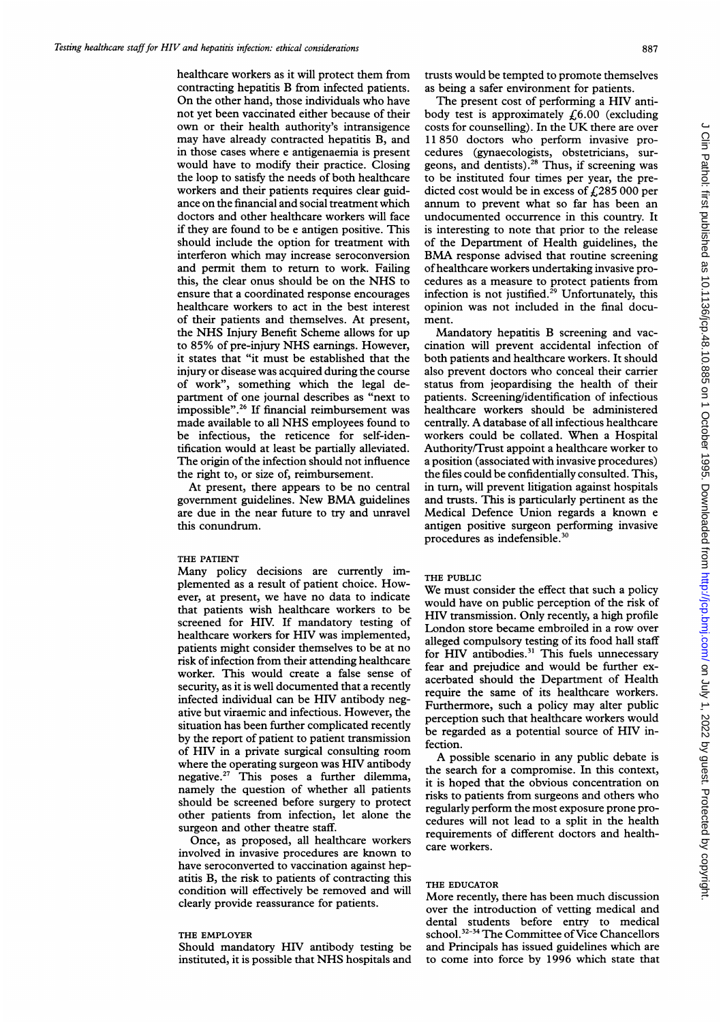healthcare workers as it will protect them from contracting hepatitis B from infected patients. On the other hand, those individuals who have not yet been vaccinated either because of their own or their health authority's intransigence may have already contracted hepatitis B, and in those cases where e antigenaemia is present would have to modify their practice. Closing the loop to satisfy the needs of both healthcare workers and their patients requires clear guidance on the financial and social treatment which doctors and other healthcare workers will face if they are found to be e antigen positive. This should include the option for treatment with interferon which may increase seroconversion and permit them to return to work. Failing this, the clear onus should be on the NHS to ensure that a coordinated response encourages healthcare workers to act in the best interest of their patients and themselves. At present, the NHS Injury Benefit Scheme allows for up to 85% of pre-injury NHS earnings. However, it states that "it must be established that the injury or disease was acquired during the course of work", something which the legal department of one journal describes as "next to impossible".26 If financial reimbursement was made available to all NHS employees found to be infectious, the reticence for self-identification would at least be partially alleviated. The origin of the infection should not influence the right to, or size of, reimbursement.

At present, there appears to be no central government guidelines. New BMA guidelines are due in the near future to try and unravel this conundrum.

#### THE PATIENT

Many policy decisions are currently implemented as <sup>a</sup> result of patient choice. However, at present, we have no data to indicate that patients wish healthcare workers to be screened for HIV. If mandatory testing of healthcare workers for HIV was implemented, patients might consider themselves to be at no risk of infection from their attending healthcare worker. This would create a false sense of security, as it is well documented that a recently infected individual can be HIV antibody negative but viraemic and infectious. However, the situation has been further complicated recently by the report of patient to patient transmission of HIV in <sup>a</sup> private surgical consulting room where the operating surgeon was HIV antibody negative.<sup>27</sup> This poses a further dilemma, namely the question of whether all patients should be screened before surgery to protect other patients from infection, let alone the surgeon and other theatre staff.

Once, as proposed, all healthcare workers involved in invasive procedures are known to have seroconverted to vaccination against hepatitis B, the risk to patients of contracting this condition will effectively be removed and will clearly provide reassurance for patients.

# THE EMPLOYER

Should mandatory HIV antibody testing be instituted, it is possible that NHS hospitals and

trusts would be tempted to promote themselves as being a safer environment for patients.

The present cost of performing <sup>a</sup> HIV antibody test is approximately  $f<sub>0.00</sub>$  (excluding costs for counselling). In the UK there are over <sup>11</sup> 850 doctors who perform invasive procedures (gynaecologists, obstetricians, surgeons, and dentists).<sup>28</sup> Thus, if screening was to be instituted four times per year, the predicted cost would be in excess of  $f(285000)$  per annum to prevent what so far has been an undocumented occurrence in this country. It is interesting to note that prior to the release of the Department of Health guidelines, the BMA response advised that routine screening ofhealthcare workers undertaking invasive procedures as a measure to protect patients from infection is not justified.<sup>29</sup> Unfortunately, this opinion was not included in the final document.

Mandatory hepatitis B screening and vaccination will prevent accidental infection of both patients and healthcare workers. It should also prevent doctors who conceal their carrier status from jeopardising the health of their patients. Screening/identification of infectious healthcare workers should be administered centrally. A database of all infectious healthcare workers could be collated. When <sup>a</sup> Hospital Authority/Trust appoint a healthcare worker to a position (associated with invasive procedures) the files could be confidentially consulted. This, in turn, will prevent litigation against hospitals and trusts. This is particularly pertinent as the Medical Defence Union regards a known e antigen positive surgeon performing invasive procedures as indefensible.<sup>30</sup>

#### THE PUBLIC

We must consider the effect that such <sup>a</sup> policy would have on public perception of the risk of HIV transmission. Only recently, <sup>a</sup> high profile London store became embroiled in a row over alleged compulsory testing of its food hall staff for HIV antibodies.<sup>31</sup> This fuels unnecessary fear and prejudice and would be further exacerbated should the Department of Health require the same of its healthcare workers. Furthermore, such a policy may alter public perception such that healthcare workers would be regarded as <sup>a</sup> potential source of HIV infection.

A possible scenario in any public debate is the search for a compromise. In this context, it is hoped that the obvious concentration on risks to patients from surgeons and others who regularly perform the most exposure prone procedures will not lead to a split in the health requirements of different doctors and healthcare workers.

#### THE EDUCATOR

More recently, there has been much discussion over the introduction of vetting medical and dental students before entry to medical school.<sup>32-34</sup> The Committee of Vice Chancellors and Principals has issued guidelines which are to come into force by 1996 which state that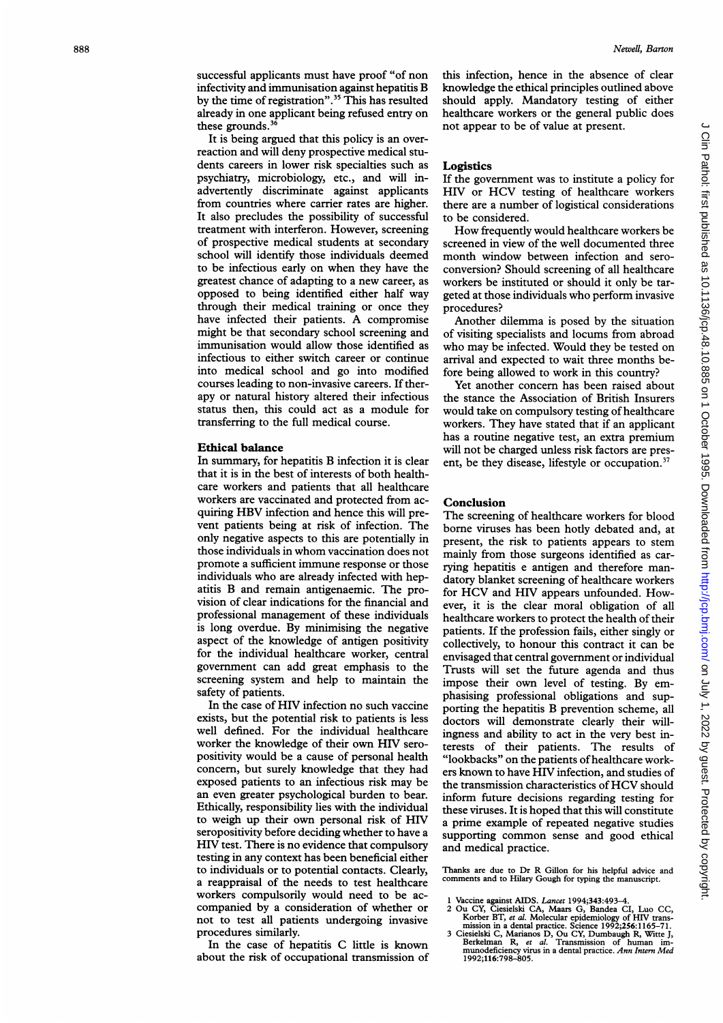successful applicants must have proof "of non infectivity and immunisation against hepatitis B by the time of registration".<sup>35</sup> This has resulted already in one applicant being refused entry on these grounds. $36$ 

It is being argued that this policy is an overreaction and will deny prospective medical students careers in lower risk specialties such as psychiatry, microbiology, etc., and will inadvertently discriminate against applicants from countries where carrier rates are higher. It also precludes the possibility of successful treatment with interferon. However, screening of prospective medical students at secondary school will identify those individuals deemed to be infectious early on when they have the greatest chance of adapting to a new career, as opposed to being identified either half way through their medical training or once they have infected their patients. A compromise might be that secondary school screening and immunisation would allow those identified as infectious to either switch career or continue into medical school and go into modified courses leading to non-invasive careers. If therapy or natural history altered their infectious status then, this could act as a module for transferring to the full medical course.

# Ethical balance

In summary, for hepatitis B infection it is clear that it is in the best of interests of both healthcare workers and patients that all healthcare workers are vaccinated and protected from acquiring HBV infection and hence this will prevent patients being at risk of infection. The only negative aspects to this are potentially in those individuals in whom vaccination does not promote a sufficient immune response or those individuals who are already infected with hepatitis B and remain antigenaemic. The provision of clear indications for the financial and professional management of these individuals is long overdue. By minimising the negative aspect of the knowledge of antigen positivity for the individual healthcare worker, central government can add great emphasis to the screening system and help to maintain the safety of patients.

In the case of HIV infection no such vaccine exists, but the potential risk to patients is less well defined. For the individual healthcare worker the knowledge of their own HIV seropositivity would be a cause of personal health concern, but surely knowledge that they had exposed patients to an infectious risk may be an even greater psychological burden to bear. Ethically, responsibility lies with the individual to weigh up their own personal risk of HIV seropositivity before deciding whether to have a HIV test. There is no evidence that compulsory testing in any context has been beneficial either to individuals or to potential contacts. Clearly, a reappraisal of the needs to test healthcare workers compulsorily would need to be accompanied by a consideration of whether or not to test all patients undergoing invasive procedures similarly.

In the case of hepatitis C little is known about the risk of occupational transmission of

this infection, hence in the absence of clear knowledge the ethical principles outlined above should apply. Mandatory testing of either healthcare workers or the general public does not appear to be of value at present.

#### Logistics

If the government was to institute a policy for HIV or HCV testing of healthcare workers there are a number of logistical considerations to be considered.

How frequently would healthcare workers be screened in view of the well documented three month window between infection and seroconversion? Should screening of all healthcare workers be instituted or should it only be targeted at those individuals who perform invasive procedures?

Another dilemma is posed by the situation of visiting specialists and locums from abroad who may be infected. Would they be tested on arrival and expected to wait three months before being allowed to work in this country?

Yet another concern has been raised about the stance the Association of British Insurers would take on compulsory testing of healthcare workers. They have stated that if an applicant has a routine negative test, an extra premium will not be charged unless risk factors are present, be they disease, lifestyle or occupation.<sup>37</sup>

# Conclusion

The screening of healthcare workers for blood borne viruses has been hotly debated and, at present, the risk to patients appears to stem mainly from those surgeons identified as carrying hepatitis e antigen and therefore mandatory blanket screening of healthcare workers for HCV and HIV appears unfounded. However, it is the clear moral obligation of all healthcare workers to protect the health of their patients. If the profession fails, either singly or collectively, to honour this contract it can be envisaged that central government or individual Trusts will set the future agenda and thus impose their own level of testing. By emphasising professional obligations and supporting the hepatitis B prevention scheme, all doctors will demonstrate clearly their willingness and ability to act in the very best interests of their patients. The results of "lookbacks" on the patients of healthcare workers known to have HIV infection, and studies of the transmission characteristics of HCV should inform future decisions regarding testing for these viruses. It is hoped that this will constitute a prime example of repeated negative studies supporting common sense and good ethical and medical practice.

Thanks are due to Dr R Gillon for his helpful advice and comments and to Hilary Gough for typing the manuscript.

- 
- 2 Ou CY, Čiesielski CA, Maars G, Bandea CI, Luo CC, Korber BT, et al. Molecular epidemiology of HIV transmission in a dental practice. Science 1992;256:1165-71. Giesielski C, Marianos D, Ou CY, Dumbaugh R, Witte J, Berkelm munodeficiency virus in a dental practice. Ann Intern Med<br>1992;116:798-805.

Vaccine against AIDS. Lancet 1994;343:493-4.